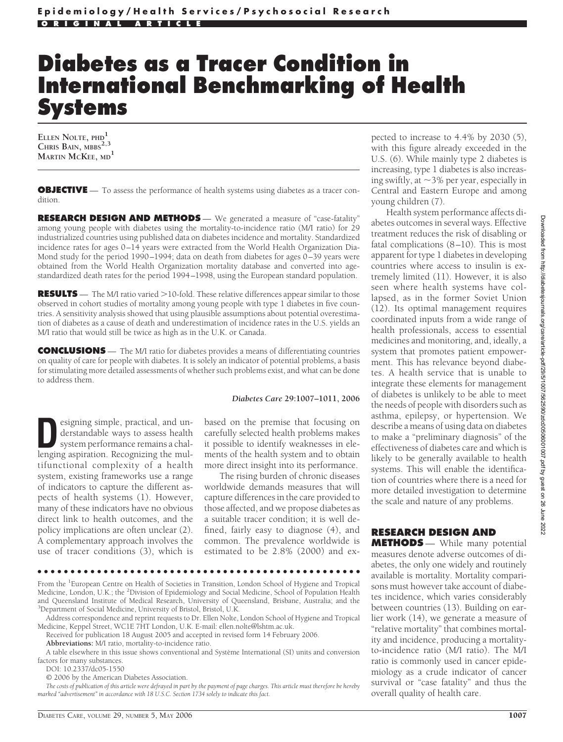# **Diabetes as a Tracer Condition in International Benchmarking of Health Systems**

**ELLEN NOLTE, PHD<sup>1</sup> CHRIS BAIN, MBBS2,3 MARTIN MCKEE, MD<sup>1</sup>**

**OBJECTIVE** — To assess the performance of health systems using diabetes as a tracer condition.

**RESEARCH DESIGN AND METHODS** — We generated a measure of "case-fatality" among young people with diabetes using the mortality-to-incidence ratio (M/I ratio) for 29 industrialized countries using published data on diabetes incidence and mortality. Standardized incidence rates for ages 0–14 years were extracted from the World Health Organization Dia-Mond study for the period 1990–1994; data on death from diabetes for ages 0–39 years were obtained from the World Health Organization mortality database and converted into agestandardized death rates for the period 1994–1998, using the European standard population.

**RESULTS** — The M/I ratio varied >10-fold. These relative differences appear similar to those observed in cohort studies of mortality among young people with type 1 diabetes in five countries. A sensitivity analysis showed that using plausible assumptions about potential overestimation of diabetes as a cause of death and underestimation of incidence rates in the U.S. yields an M/I ratio that would still be twice as high as in the U.K. or Canada.

**CONCLUSIONS** — The M/I ratio for diabetes provides a means of differentiating countries on quality of care for people with diabetes. It is solely an indicator of potential problems, a basis for stimulating more detailed assessments of whether such problems exist, and what can be done to address them.

### *Diabetes Care* **29:1007–1011, 2006**

esigning simple, practical, and un-<br>derstandable ways to assess health<br>system performance remains a chal-<br>lenging aspiration. Recognizing the mulderstandable ways to assess health lenging aspiration. Recognizing the multifunctional complexity of a health system, existing frameworks use a range of indicators to capture the different aspects of health systems (1). However, many of these indicators have no obvious direct link to health outcomes, and the policy implications are often unclear (2). A complementary approach involves the use of tracer conditions (3), which is

based on the premise that focusing on carefully selected health problems makes it possible to identify weaknesses in elements of the health system and to obtain more direct insight into its performance.

The rising burden of chronic diseases worldwide demands measures that will capture differences in the care provided to those affected, and we propose diabetes as a suitable tracer condition; it is well defined, fairly easy to diagnose (4), and common. The prevalence worldwide is estimated to be 2.8% (2000) and ex-

From the <sup>1</sup>European Centre on Health of Societies in Transition, London School of Hygiene and Tropical Medicine, London, U.K.; the <sup>2</sup>Division of Epidemiology and Social Medicine, School of Population Health and Queensland Institute of Medical Research, University of Queensland, Brisbane, Australia; and the 3 Department of Social Medicine, University of Bristol, Bristol, U.K.

Address correspondence and reprint requests to Dr. Ellen Nolte, London School of Hygiene and Tropical Medicine, Keppel Street, WC1E 7HT London, U.K. E-mail: ellen.nolte@lshtm.ac.uk.

Received for publication 18 August 2005 and accepted in revised form 14 February 2006.

●●●●●●●●●●●●●●●●●●●●●●●●●●●●●●●●●●●●●●●●●●●●●●●●●

A table elsewhere in this issue shows conventional and Système International (SI) units and conversion factors for many substances.

DOI: 10.2337/dc05-1550

*The costs of publication of this article were defrayed in part by the payment of page charges. This article must therefore be hereby marked "advertisement" in accordance with 18 U.S.C. Section 1734 solely to indicate this fact.*

pected to increase to 4.4% by 2030 (5), with this figure already exceeded in the U.S. (6). While mainly type 2 diabetes is increasing, type 1 diabetes is also increasing swiftly, at  $\sim$ 3% per year, especially in Central and Eastern Europe and among young children (7).

Health system performance affects diabetes outcomes in several ways. Effective treatment reduces the risk of disabling or fatal complications (8–10). This is most apparent for type 1 diabetes in developing countries where access to insulin is extremely limited (11). However, it is also seen where health systems have collapsed, as in the former Soviet Union (12). Its optimal management requires coordinated inputs from a wide range of health professionals, access to essential medicines and monitoring, and, ideally, a system that promotes patient empowerment. This has relevance beyond diabetes. A health service that is unable to integrate these elements for management of diabetes is unlikely to be able to meet the needs of people with disorders such as asthma, epilepsy, or hypertension. We describe a means of using data on diabetes to make a "preliminary diagnosis" of the effectiveness of diabetes care and which is likely to be generally available to health systems. This will enable the identification of countries where there is a need for more detailed investigation to determine the scale and nature of any problems.

# **RESEARCH DESIGN AND**

**METHODS** — While many potential measures denote adverse outcomes of diabetes, the only one widely and routinely available is mortality. Mortality comparisons must however take account of diabetes incidence, which varies considerably between countries (13). Building on earlier work (14), we generate a measure of "relative mortality" that combines mortality and incidence, producing a mortalityto-incidence ratio (M/I ratio). The M/I ratio is commonly used in cancer epidemiology as a crude indicator of cancer survival or "case fatality" and thus the overall quality of health care.

**Abbreviations:** M/I ratio, mortality-to-incidence ratio.

<sup>© 2006</sup> by the American Diabetes Association.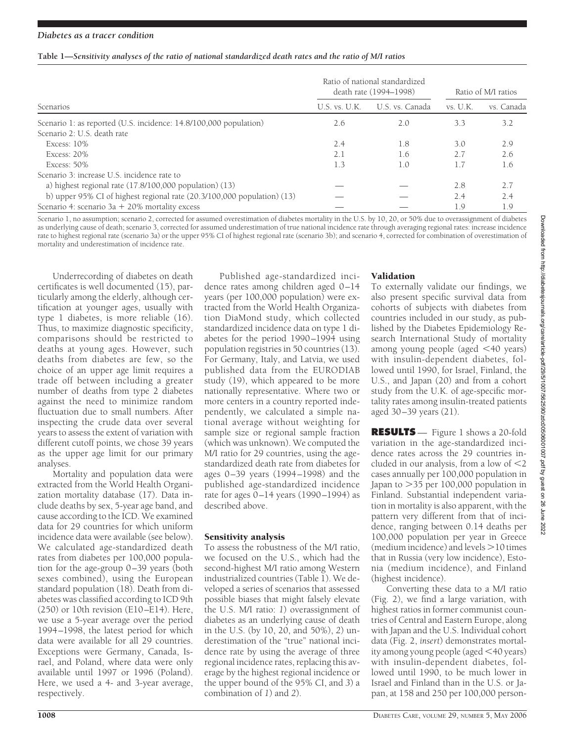|  |  | Table 1—Sensitivity analyses of the ratio of national standardized death rates and the ratio of M/I ratios |
|--|--|------------------------------------------------------------------------------------------------------------|
|  |  |                                                                                                            |

|                                                                         | Ratio of national standardized<br>death rate (1994–1998) |                 | Ratio of M/I ratios |            |
|-------------------------------------------------------------------------|----------------------------------------------------------|-----------------|---------------------|------------|
| Scenarios                                                               | U.S. vs. U.K.                                            | U.S. vs. Canada | vs. U.K.            | vs. Canada |
| Scenario 1: as reported (U.S. incidence: 14.8/100,000 population)       | 2.6                                                      | 2.0             | 3.3                 | 3.2        |
| Scenario 2: U.S. death rate                                             |                                                          |                 |                     |            |
| Excess: 10%                                                             | 2.4                                                      | 1.8             | 3.0                 | 2.9        |
| Excess: $20\%$                                                          | 2.1                                                      | 1.6             | 2.7                 | 2.6        |
| Excess: $50\%$                                                          | 1.3                                                      | 1.0             | 1.7                 | 1.6        |
| Scenario 3: increase U.S. incidence rate to                             |                                                          |                 |                     |            |
| a) highest regional rate $(17.8/100,000$ population $)(13)$             |                                                          |                 | 2.8                 | 2.7        |
| b) upper 95% CI of highest regional rate (20.3/100,000 population) (13) |                                                          |                 | 2.4                 | 2.4        |
| Scenario 4: scenario 3a + $20\%$ mortality excess                       |                                                          |                 | 1.9                 | 1.9        |

Scenario 1, no assumption; scenario 2, corrected for assumed overestimation of diabetes mortality in the U.S. by 10, 20, or 50% due to overassignment of diabetes as underlying cause of death; scenario 3, corrected for assumed underestimation of true national incidence rate through averaging regional rates: increase incidence rate to highest regional rate (scenario 3a) or the upper 95% CI of highest regional rate (scenario 3b); and scenario 4, corrected for combination of overestimation of mortality and underestimation of incidence rate.

Underrecording of diabetes on death certificates is well documented (15), particularly among the elderly, although certification at younger ages, usually with type 1 diabetes, is more reliable (16). Thus, to maximize diagnostic specificity, comparisons should be restricted to deaths at young ages. However, such deaths from diabetes are few, so the choice of an upper age limit requires a trade off between including a greater number of deaths from type 2 diabetes against the need to minimize random fluctuation due to small numbers. After inspecting the crude data over several years to assess the extent of variation with different cutoff points, we chose 39 years as the upper age limit for our primary analyses.

Mortality and population data were extracted from the World Health Organization mortality database (17). Data include deaths by sex, 5-year age band, and cause according to the ICD. We examined data for 29 countries for which uniform incidence data were available (see below). We calculated age-standardized death rates from diabetes per 100,000 population for the age-group 0–39 years (both sexes combined), using the European standard population (18). Death from diabetes was classified according to ICD 9th (250) or 10th revision (E10–E14). Here, we use a 5-year average over the period 1994–1998, the latest period for which data were available for all 29 countries. Exceptions were Germany, Canada, Israel, and Poland, where data were only available until 1997 or 1996 (Poland). Here, we used a 4- and 3-year average, respectively.

Published age-standardized incidence rates among children aged 0–14 years (per 100,000 population) were extracted from the World Health Organization DiaMond study, which collected standardized incidence data on type 1 diabetes for the period 1990–1994 using population registries in 50 countries (13). For Germany, Italy, and Latvia, we used published data from the EURODIAB study (19), which appeared to be more nationally representative. Where two or more centers in a country reported independently, we calculated a simple national average without weighting for sample size or regional sample fraction (which was unknown). We computed the M/I ratio for 29 countries, using the agestandardized death rate from diabetes for ages 0–39 years (1994–1998) and the published age-standardized incidence rate for ages  $0-14$  years (1990–1994) as described above.

## Sensitivity analysis

To assess the robustness of the M/I ratio, we focused on the U.S., which had the second-highest M/I ratio among Western industrialized countries (Table 1). We developed a series of scenarios that assessed possible biases that might falsely elevate the U.S. M/I ratio: *1*) overassignment of diabetes as an underlying cause of death in the U.S. (by 10, 20, and 50%), *2*) underestimation of the "true" national incidence rate by using the average of three regional incidence rates, replacing this average by the highest regional incidence or the upper bound of the 95% CI, and *3*) a combination of *1*) and *2*).

## Validation

To externally validate our findings, we also present specific survival data from cohorts of subjects with diabetes from countries included in our study, as published by the Diabetes Epidemiology Research International Study of mortality among young people (aged  $\leq 40$  years) with insulin-dependent diabetes, followed until 1990, for Israel, Finland, the U.S., and Japan (20) and from a cohort study from the U.K. of age-specific mortality rates among insulin-treated patients aged 30–39 years (21).

**RESULTS** — Figure 1 shows a 20-fold variation in the age-standardized incidence rates across the 29 countries included in our analysis, from a low of  $\leq 2$ cases annually per 100,000 population in Japan to 35 per 100,000 population in Finland. Substantial independent variation in mortality is also apparent, with the pattern very different from that of incidence, ranging between 0.14 deaths per 100,000 population per year in Greece  $($ medium incidence $)$  and levels  $>$  10 times that in Russia (very low incidence), Estonia (medium incidence), and Finland (highest incidence).

Converting these data to a M/I ratio (Fig. 2), we find a large variation, with highest ratios in former communist countries of Central and Eastern Europe, along with Japan and the U.S. Individual cohort data (Fig. 2, *insert*) demonstrates mortality among young people (aged 40 years) with insulin-dependent diabetes, followed until 1990, to be much lower in Israel and Finland than in the U.S. or Japan, at 158 and 250 per 100,000 person-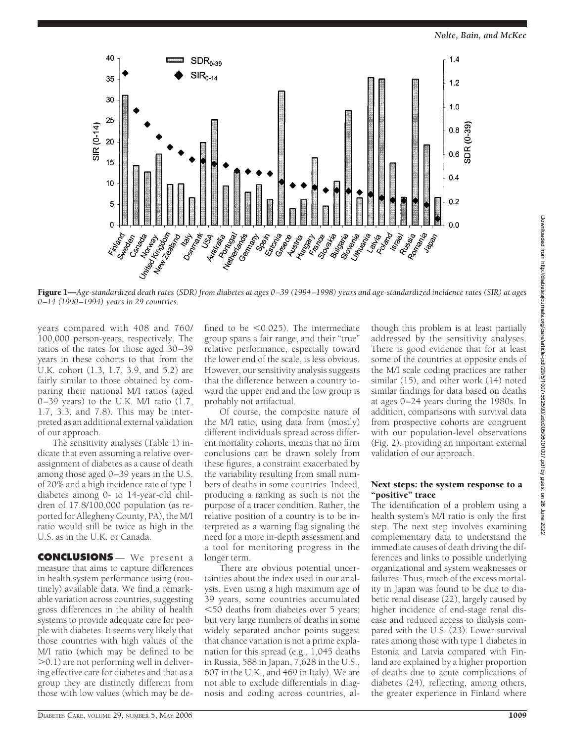*Nolte, Bain, and McKee*



Figure 1—*Age-standardized death rates (SDR) from diabetes at ages 0 –39 (1994 –1998) years and age-standardized incidence rates (SIR) at ages 0 –14 (1990 –1994) years in 29 countries.*

years compared with 408 and 760/ 100,000 person-years, respectively. The ratios of the rates for those aged 30–39 years in these cohorts to that from the U.K. cohort (1.3, 1.7, 3.9, and 5.2) are fairly similar to those obtained by comparing their national M/I ratios (aged 0–39 years) to the U.K. M/I ratio (1.7, 1.7, 3.3, and 7.8). This may be interpreted as an additional external validation of our approach.

The sensitivity analyses (Table 1) indicate that even assuming a relative overassignment of diabetes as a cause of death among those aged 0–39 years in the U.S. of 20% and a high incidence rate of type 1 diabetes among 0- to 14-year-old children of 17.8/100,000 population (as reported for Allegheny County, PA), the M/I ratio would still be twice as high in the U.S. as in the U.K. or Canada.

**CONCLUSIONS** — We present a measure that aims to capture differences in health system performance using (routinely) available data. We find a remarkable variation across countries, suggesting gross differences in the ability of health systems to provide adequate care for people with diabetes. It seems very likely that those countries with high values of the M/I ratio (which may be defined to be  $>$ 0.1) are not performing well in delivering effective care for diabetes and that as a group they are distinctly different from those with low values (which may be de-

fined to be  $\leq 0.025$ ). The intermediate group spans a fair range, and their "true" relative performance, especially toward the lower end of the scale, is less obvious. However, our sensitivity analysis suggests that the difference between a country toward the upper end and the low group is probably not artifactual.

Of course, the composite nature of the M/I ratio, using data from (mostly) different individuals spread across different mortality cohorts, means that no firm conclusions can be drawn solely from these figures, a constraint exacerbated by the variability resulting from small numbers of deaths in some countries. Indeed, producing a ranking as such is not the purpose of a tracer condition. Rather, the relative position of a country is to be interpreted as a warning flag signaling the need for a more in-depth assessment and a tool for monitoring progress in the longer term.

There are obvious potential uncertainties about the index used in our analysis. Even using a high maximum age of 39 years, some countries accumulated 50 deaths from diabetes over 5 years; but very large numbers of deaths in some widely separated anchor points suggest that chance variation is not a prime explanation for this spread (e.g., 1,045 deaths in Russia, 588 in Japan, 7,628 in the U.S., 607 in the U.K., and 469 in Italy). We are not able to exclude differentials in diagnosis and coding across countries, al-

though this problem is at least partially addressed by the sensitivity analyses. There is good evidence that for at least some of the countries at opposite ends of the M/I scale coding practices are rather similar (15), and other work (14) noted similar findings for data based on deaths at ages 0–24 years during the 1980s. In addition, comparisons with survival data from prospective cohorts are congruent with our population-level observations (Fig. 2), providing an important external validation of our approach.

## Next steps: the system response to a "positive" trace

The identification of a problem using a health system's M/I ratio is only the first step. The next step involves examining complementary data to understand the immediate causes of death driving the differences and links to possible underlying organizational and system weaknesses or failures. Thus, much of the excess mortality in Japan was found to be due to diabetic renal disease (22), largely caused by higher incidence of end-stage renal disease and reduced access to dialysis compared with the U.S. (23). Lower survival rates among those with type 1 diabetes in Estonia and Latvia compared with Finland are explained by a higher proportion of deaths due to acute complications of diabetes (24), reflecting, among others, the greater experience in Finland where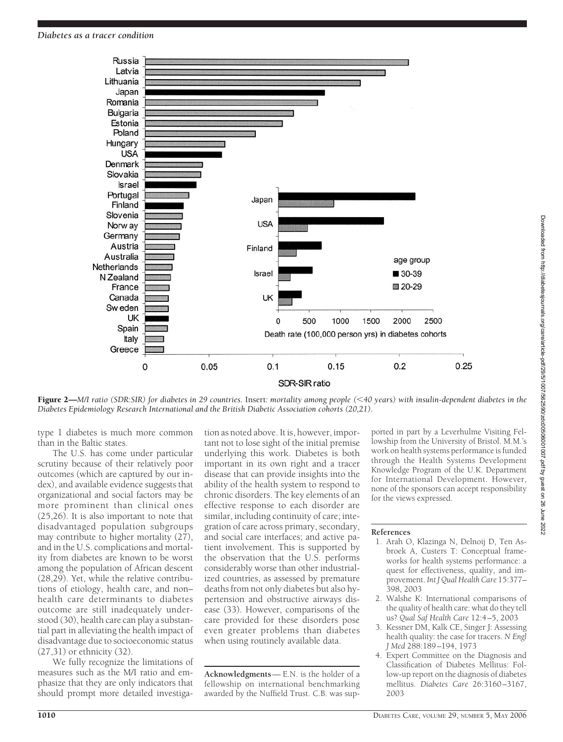

Figure 2—*M/I ratio (SDR:SIR) for diabetes in 29 countries.* Insert*: mortality among people (40 years) with insulin-dependent diabetes in the Diabetes Epidemiology Research International and the British Diabetic Association cohorts (20,21).*

type 1 diabetes is much more common than in the Baltic states.

The U.S. has come under particular scrutiny because of their relatively poor outcomes (which are captured by our index), and available evidence suggests that organizational and social factors may be more prominent than clinical ones (25,26). It is also important to note that disadvantaged population subgroups may contribute to higher mortality (27), and in the U.S. complications and mortality from diabetes are known to be worst among the population of African descent (28,29). Yet, while the relative contributions of etiology, health care, and non– health care determinants to diabetes outcome are still inadequately understood (30), health care can play a substantial part in alleviating the health impact of disadvantage due to socioeconomic status (27,31) or ethnicity (32).

We fully recognize the limitations of measures such as the M/I ratio and emphasize that they are only indicators that should prompt more detailed investigation as noted above. It is, however, important not to lose sight of the initial premise underlying this work. Diabetes is both important in its own right and a tracer disease that can provide insights into the ability of the health system to respond to chronic disorders. The key elements of an effective response to each disorder are similar, including continuity of care; integration of care across primary, secondary, and social care interfaces; and active patient involvement. This is supported by the observation that the U.S. performs considerably worse than other industrialized countries, as assessed by premature deaths from not only diabetes but also hypertension and obstructive airways disease (33). However, comparisons of the care provided for these disorders pose even greater problems than diabetes when using routinely available data.

**Acknowledgments**— E.N. is the holder of a fellowship on international benchmarking awarded by the Nuffield Trust. C.B. was sup-

ported in part by a Leverhulme Visiting Fellowship from the University of Bristol. M.M.'s work on health systems performance is funded through the Health Systems Development Knowledge Program of the U.K. Department for International Development. However, none of the sponsors can accept responsibility for the views expressed.

### **References**

- 1. Arah O, Klazinga N, Delnoij D, Ten Asbroek A, Custers T: Conceptual frameworks for health systems performance: a quest for effectiveness, quality, and improvement. *Int J Qual Health Care* 15:377– 398, 2003
- 2. Walshe K: International comparisons of the quality of health care: what do they tell us? *Qual Saf Health Care* 12:4–5, 2003
- 3. Kessner DM, Kalk CE, Singer J: Assessing health quality: the case for tracers. *N Engl J Med* 288:189–194, 1973
- 4. Expert Committee on the Diagnosis and Classification of Diabetes Mellitus: Follow-up report on the diagnosis of diabetes mellitus. *Diabetes Care* 26:3160–3167, 2003